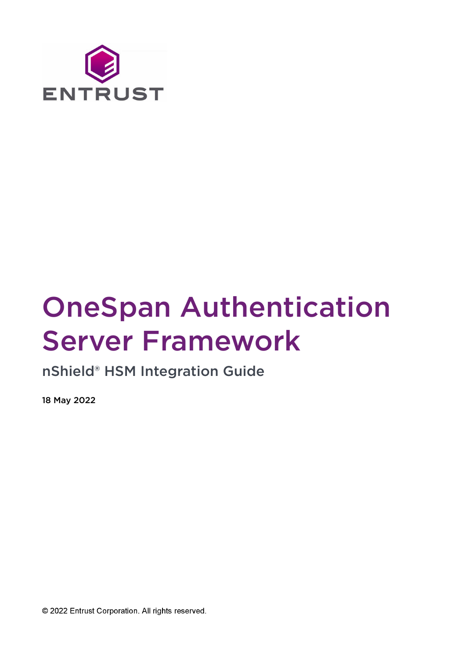

# OneSpan Authentication Server Framework

nShield® HSM Integration Guide

18 May 2022

© 2022 Entrust Corporation. All rights reserved.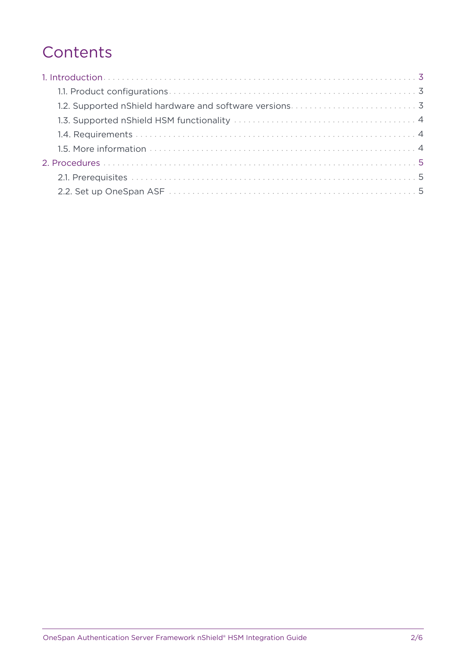## **Contents**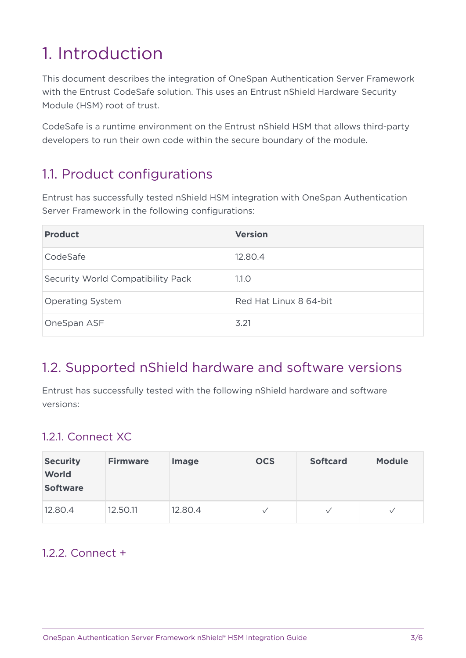# <span id="page-2-0"></span>1. Introduction

This document describes the integration of OneSpan Authentication Server Framework with the Entrust CodeSafe solution. This uses an Entrust nShield Hardware Security Module (HSM) root of trust.

CodeSafe is a runtime environment on the Entrust nShield HSM that allows third-party developers to run their own code within the secure boundary of the module.

## <span id="page-2-1"></span>1.1. Product configurations

Entrust has successfully tested nShield HSM integration with OneSpan Authentication Server Framework in the following configurations:

| <b>Product</b>                    | <b>Version</b>         |
|-----------------------------------|------------------------|
| CodeSafe                          | 12.80.4                |
| Security World Compatibility Pack | 1.1.0                  |
| <b>Operating System</b>           | Red Hat Linux 8 64-bit |
| OneSpan ASF                       | 3.21                   |

#### <span id="page-2-2"></span>1.2. Supported nShield hardware and software versions

Entrust has successfully tested with the following nShield hardware and software versions:

#### 1.2.1. Connect XC

| <b>Security</b><br><b>World</b><br><b>Software</b> | <b>Firmware</b> | <b>Image</b> | <b>OCS</b>   | <b>Softcard</b> | <b>Module</b> |
|----------------------------------------------------|-----------------|--------------|--------------|-----------------|---------------|
| 12.80.4                                            | 12.50.11        | 12.80.4      | $\checkmark$ | $\checkmark$    |               |

#### $122$  Connect +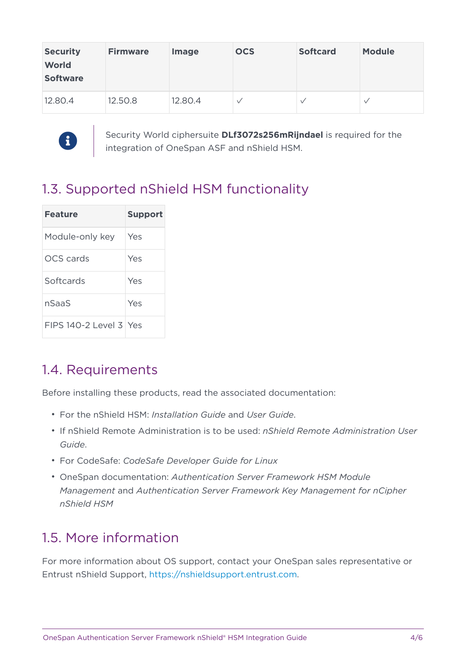| <b>Security</b><br><b>World</b><br><b>Software</b> | <b>Firmware</b> | <b>Image</b> | <b>OCS</b>   | <b>Softcard</b> | <b>Module</b> |
|----------------------------------------------------|-----------------|--------------|--------------|-----------------|---------------|
| 12.80.4                                            | 12.50.8         | 12.80.4      | $\checkmark$ |                 |               |



Security World ciphersuite **DLf3072s256mRijndael** is required for the integration of OneSpan ASF and nShield HSM.

## <span id="page-3-0"></span>1.3. Supported nShield HSM functionality

| <b>Feature</b>           | <b>Support</b> |
|--------------------------|----------------|
| Module-only key          | Yes            |
| OCS cards                | Yes            |
| Softcards                | Yes            |
| nSaaS                    | Yes            |
| $FIPS 140-2 Level 3 Yes$ |                |

#### <span id="page-3-1"></span>1.4. Requirements

Before installing these products, read the associated documentation:

- For the nShield HSM: *Installation Guide* and *User Guide*.
- If nShield Remote Administration is to be used: *nShield Remote Administration User Guide*.
- For CodeSafe: *CodeSafe Developer Guide for Linux*
- OneSpan documentation: *Authentication Server Framework HSM Module Management* and *Authentication Server Framework Key Management for nCipher nShield HSM*

#### <span id="page-3-2"></span>1.5. More information

For more information about OS support, contact your OneSpan sales representative or Entrust nShield Support, [https://nshieldsupport.entrust.com.](https://nshieldsupport.entrust.com)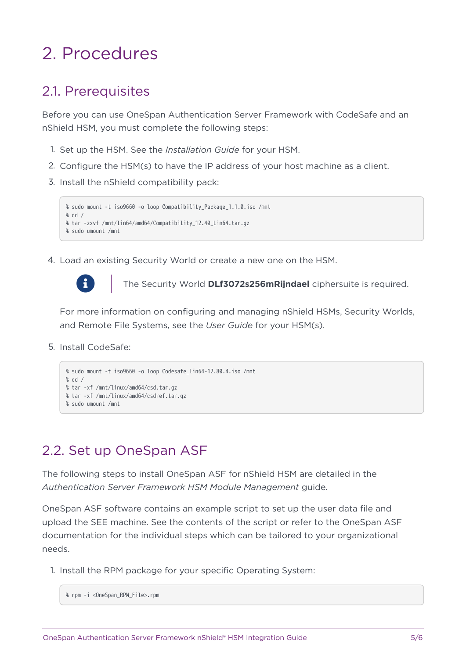# <span id="page-4-0"></span>2. Procedures

#### <span id="page-4-1"></span>2.1. Prerequisites

Before you can use OneSpan Authentication Server Framework with CodeSafe and an nShield HSM, you must complete the following steps:

- 1. Set up the HSM. See the *Installation Guide* for your HSM.
- 2. Configure the HSM(s) to have the IP address of your host machine as a client.
- 3. Install the nShield compatibility pack:

```
% sudo mount -t iso9660 -o loop Compatibility_Package_1.1.0.iso /mnt
% cd /
% tar -zxvf /mnt/lin64/amd64/Compatibility_12.40_Lin64.tar.gz
% sudo umount /mnt
```
4. Load an existing Security World or create a new one on the HSM.



The Security World **DLf3072s256mRijndael** ciphersuite is required.

For more information on configuring and managing nShield HSMs, Security Worlds, and Remote File Systems, see the *User Guide* for your HSM(s).

5. Install CodeSafe:

```
% sudo mount -t iso9660 -o loop Codesafe_Lin64-12.80.4.iso /mnt
% cd /
% tar -xf /mnt/linux/amd64/csd.tar.gz
% tar -xf /mnt/linux/amd64/csdref.tar.gz
% sudo umount /mnt
```
#### <span id="page-4-2"></span>2.2. Set up OneSpan ASF

The following steps to install OneSpan ASF for nShield HSM are detailed in the *Authentication Server Framework HSM Module Management* guide.

OneSpan ASF software contains an example script to set up the user data file and upload the SEE machine. See the contents of the script or refer to the OneSpan ASF documentation for the individual steps which can be tailored to your organizational needs.

1. Install the RPM package for your specific Operating System:

```
% rpm -i <OneSpan_RPM_File>.rpm
```